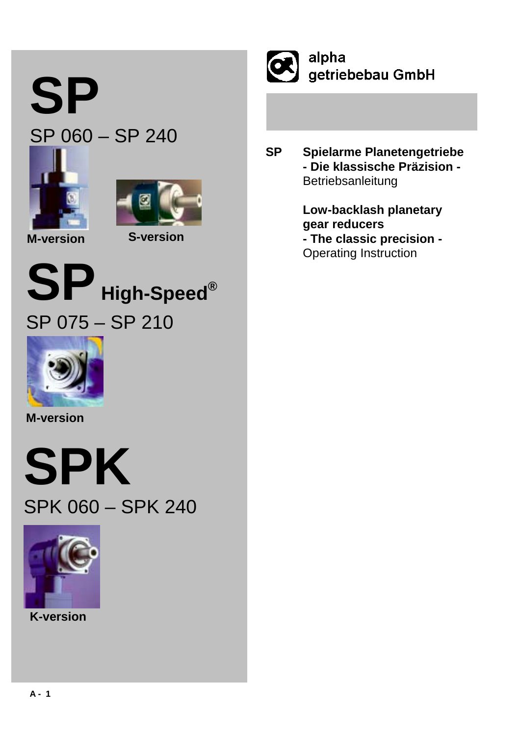# **SP**

# SP 060 – SP 240





**M-version S-version**





**M-version**





**K-version**



alpha getriebebau GmbH

**SP Spielarme Planetengetriebe - Die klassische Präzision -** Betriebsanleitung

> **Low-backlash planetary gear reducers - The classic precision -** Operating Instruction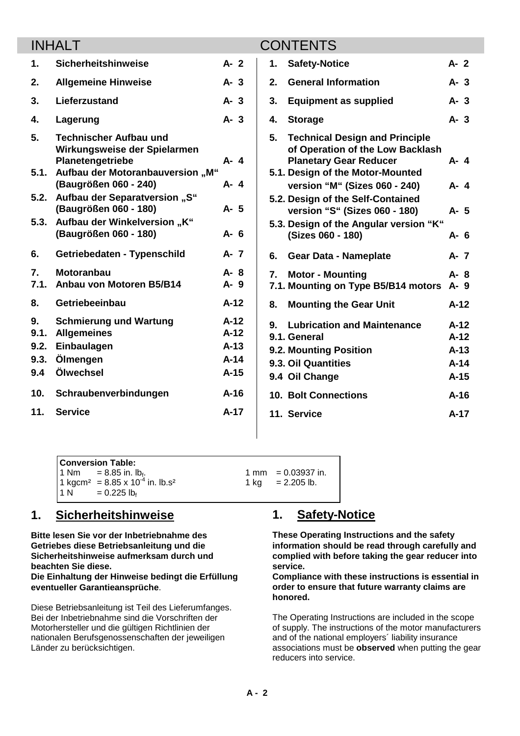|                                   | <b>INHALT</b>                                                                                                         |                                                |    | <b>CONTENTS</b>                                                                                                                                |                                                |  |
|-----------------------------------|-----------------------------------------------------------------------------------------------------------------------|------------------------------------------------|----|------------------------------------------------------------------------------------------------------------------------------------------------|------------------------------------------------|--|
| 1.                                | <b>Sicherheitshinweise</b>                                                                                            | $A - 2$                                        | 1. | <b>Safety-Notice</b>                                                                                                                           | $A - 2$                                        |  |
| 2.                                | <b>Allgemeine Hinweise</b>                                                                                            | $A - 3$                                        | 2. | <b>General Information</b>                                                                                                                     | $A - 3$                                        |  |
| 3.                                | Lieferzustand                                                                                                         | $A - 3$                                        | 3. | <b>Equipment as supplied</b>                                                                                                                   | A- 3                                           |  |
| 4.                                | Lagerung                                                                                                              | $A - 3$                                        | 4. | <b>Storage</b>                                                                                                                                 | $A - 3$                                        |  |
| 5.<br>5.1.                        | <b>Technischer Aufbau und</b><br>Wirkungsweise der Spielarmen<br>Planetengetriebe<br>Aufbau der Motoranbauversion "M" | $A - 4$                                        | 5. | <b>Technical Design and Principle</b><br>of Operation of the Low Backlash<br><b>Planetary Gear Reducer</b><br>5.1. Design of the Motor-Mounted | A- 4                                           |  |
|                                   | (Baugrößen 060 - 240)                                                                                                 | A-4                                            |    | version "M" (Sizes 060 - 240)                                                                                                                  | A- 4                                           |  |
|                                   | 5.2. Aufbau der Separatversion "S"<br>(Baugrößen 060 - 180)                                                           | A- 5                                           |    | 5.2. Design of the Self-Contained<br>version "S" (Sizes 060 - 180)                                                                             | A- 5                                           |  |
| 5.3.                              | "Aufbau der Winkelversion "K<br>(Baugrößen 060 - 180)                                                                 | $A - 6$                                        |    | 5.3. Design of the Angular version "K"<br>(Sizes 060 - 180)                                                                                    | A- 6                                           |  |
| 6.                                | Getriebedaten - Typenschild                                                                                           | $A - 7$                                        | 6. | <b>Gear Data - Nameplate</b>                                                                                                                   | A- 7                                           |  |
| $\overline{7}$ .<br>7.1.          | <b>Motoranbau</b><br>Anbau von Motoren B5/B14                                                                         | A-8<br>A-9                                     | 7. | <b>Motor - Mounting</b><br>7.1. Mounting on Type B5/B14 motors                                                                                 | A-8<br>A-9                                     |  |
| 8.                                | Getriebeeinbau                                                                                                        | $A-12$                                         | 8. | <b>Mounting the Gear Unit</b>                                                                                                                  | $A-12$                                         |  |
| 9.<br>9.1.<br>9.2.<br>9.3.<br>9.4 | <b>Schmierung und Wartung</b><br><b>Allgemeines</b><br>Einbaulagen<br>Ölmengen<br>Ölwechsel                           | $A-12$<br>$A-12$<br>$A-13$<br>$A-14$<br>$A-15$ | 9. | <b>Lubrication and Maintenance</b><br>9.1. General<br>9.2. Mounting Position<br>9.3. Oil Quantities<br>9.4 Oil Change                          | $A-12$<br>$A-12$<br>$A-13$<br>$A-14$<br>$A-15$ |  |
| 10.                               | Schraubenverbindungen                                                                                                 | $A-16$                                         |    | <b>10. Bolt Connections</b>                                                                                                                    | $A-16$                                         |  |
| 11.                               | <b>Service</b>                                                                                                        | $A-17$                                         |    | 11. Service                                                                                                                                    | $A-17$                                         |  |
|                                   |                                                                                                                       |                                                |    |                                                                                                                                                |                                                |  |

|  | <b>Conversion Table:</b>                                                                                 |                                      |
|--|----------------------------------------------------------------------------------------------------------|--------------------------------------|
|  |                                                                                                          | $1 \text{ mm} = 0.03937 \text{ in.}$ |
|  | 1 Nm = 8.85 in. lb <sub>f</sub> .<br>1 kgcm <sup>2</sup> = 8.85 x 10 <sup>-4</sup> in. lb.s <sup>2</sup> | 1 kg = $2.205$ lb.                   |
|  | $1 N = 0.225 lbf$                                                                                        |                                      |

# **1. Sicherheitshinweise**

**Bitte lesen Sie vor der Inbetriebnahme des Getriebes diese Betriebsanleitung und die Sicherheitshinweise aufmerksam durch und beachten Sie diese.**

**Die Einhaltung der Hinweise bedingt die Erfüllung eventueller Garantieansprüche**.

Diese Betriebsanleitung ist Teil des Lieferumfanges. Bei der Inbetriebnahme sind die Vorschriften der Motorhersteller und die gültigen Richtlinien der nationalen Berufsgenossenschaften der jeweiligen Länder zu berücksichtigen.

# **1. Safety-Notice**

**These Operating Instructions and the safety information should be read through carefully and complied with before taking the gear reducer into service.**

**Compliance with these instructions is essential in order to ensure that future warranty claims are honored.**

The Operating Instructions are included in the scope of supply. The instructions of the motor manufacturers and of the national employers´ liability insurance associations must be **observed** when putting the gear reducers into service.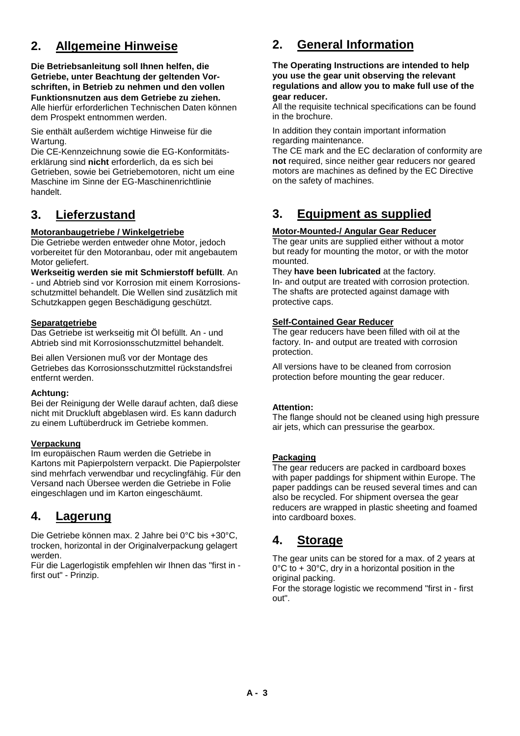# **2. Allgemeine Hinweise**

**Die Betriebsanleitung soll Ihnen helfen, die Getriebe, unter Beachtung der geltenden Vorschriften, in Betrieb zu nehmen und den vollen Funktionsnutzen aus dem Getriebe zu ziehen.** Alle hierfür erforderlichen Technischen Daten können dem Prospekt entnommen werden.

Sie enthält außerdem wichtige Hinweise für die Wartung.

Die CE-Kennzeichnung sowie die EG-Konformitätserklärung sind **nicht** erforderlich, da es sich bei Getrieben, sowie bei Getriebemotoren, nicht um eine Maschine im Sinne der EG-Maschinenrichtlinie handelt.

# **3. Lieferzustand**

#### **Motoranbaugetriebe / Winkelgetriebe**

Die Getriebe werden entweder ohne Motor, jedoch vorbereitet für den Motoranbau, oder mit angebautem Motor geliefert.

**Werkseitig werden sie mit Schmierstoff befüllt**. An - und Abtrieb sind vor Korrosion mit einem Korrosionsschutzmittel behandelt. Die Wellen sind zusätzlich mit Schutzkappen gegen Beschädigung geschützt.

#### **Separatgetriebe**

Das Getriebe ist werkseitig mit Öl befüllt. An - und Abtrieb sind mit Korrosionsschutzmittel behandelt.

Bei allen Versionen muß vor der Montage des Getriebes das Korrosionsschutzmittel rückstandsfrei entfernt werden.

#### **Achtung:**

Bei der Reinigung der Welle darauf achten, daß diese nicht mit Druckluft abgeblasen wird. Es kann dadurch zu einem Luftüberdruck im Getriebe kommen.

#### **Verpackung**

Im europäischen Raum werden die Getriebe in Kartons mit Papierpolstern verpackt. Die Papierpolster sind mehrfach verwendbar und recyclingfähig. Für den Versand nach Übersee werden die Getriebe in Folie eingeschlagen und im Karton eingeschäumt.

# **4. Lagerung**

Die Getriebe können max. 2 Jahre bei 0°C bis +30°C, trocken, horizontal in der Originalverpackung gelagert werden.

Für die Lagerlogistik empfehlen wir Ihnen das "first in first out" - Prinzip.

# **2. General Information**

**The Operating Instructions are intended to help you use the gear unit observing the relevant regulations and allow you to make full use of the gear reducer.**

All the requisite technical specifications can be found in the brochure.

In addition they contain important information regarding maintenance.

The CE mark and the EC declaration of conformity are **not** required, since neither gear reducers nor geared motors are machines as defined by the EC Directive on the safety of machines.

# **3. Equipment as supplied**

#### **Motor-Mounted-/ Angular Gear Reducer**

The gear units are supplied either without a motor but ready for mounting the motor, or with the motor mounted.

They **have been lubricated** at the factory. In- and output are treated with corrosion protection. The shafts are protected against damage with protective caps.

#### **Self-Contained Gear Reducer**

The gear reducers have been filled with oil at the factory. In- and output are treated with corrosion protection.

All versions have to be cleaned from corrosion protection before mounting the gear reducer.

#### **Attention:**

The flange should not be cleaned using high pressure air jets, which can pressurise the gearbox.

#### **Packaging**

The gear reducers are packed in cardboard boxes with paper paddings for shipment within Europe. The paper paddings can be reused several times and can also be recycled. For shipment oversea the gear reducers are wrapped in plastic sheeting and foamed into cardboard boxes.

# **4. Storage**

The gear units can be stored for a max. of 2 years at 0°C to + 30°C, dry in a horizontal position in the original packing.

For the storage logistic we recommend "first in - first out".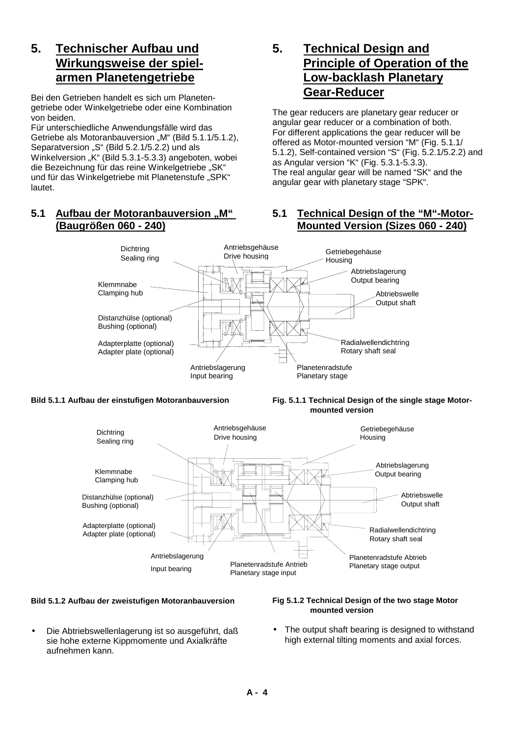# **5. Technischer Aufbau und Wirkungsweise der spielarmen Planetengetriebe**

Bei den Getrieben handelt es sich um Planetengetriebe oder Winkelgetriebe oder eine Kombination von beiden.

Für unterschiedliche Anwendungsfälle wird das Getriebe als Motoranbauversion "M" (Bild 5.1.1/5.1.2), Separatversion "S" (Bild 5.2.1/5.2.2) und als Winkelversion "K" (Bild 5.3.1-5.3.3) angeboten, wobei die Bezeichnung für das reine Winkelgetriebe "SK" und für das Winkelgetriebe mit Planetenstufe "SPK" lautet.

### **5.1 Aufbau der Motoranbauversion "M" (Baugrößen 060 - 240)**

# **5. Technical Design and Principle of Operation of the Low-backlash Planetary Gear-Reducer**

The gear reducers are planetary gear reducer or angular gear reducer or a combination of both. For different applications the gear reducer will be offered as Motor-mounted version "M" (Fig. 5.1.1/ 5.1.2), Self-contained version "S" (Fig. 5.2.1/5.2.2) and as Angular version "K" (Fig. 5.3.1-5.3.3). The real angular gear will be named "SK" and the angular gear with planetary stage "SPK".

#### **5.1 Technical Design of the "M"-Motor-Mounted Version (Sizes 060 - 240)**



**Bild 5.1.1 Aufbau der einstufigen Motoranbauversion Fig. 5.1.1 Technical Design of the single stage Motor mounted version**



#### **Bild 5.1.2 Aufbau der zweistufigen Motoranbauversion Fig 5.1.2 Technical Design of the two stage Motor**

• Die Abtriebswellenlagerung ist so ausgeführt, daß sie hohe externe Kippmomente und Axialkräfte aufnehmen kann.

# **mounted version**

The output shaft bearing is designed to withstand high external tilting moments and axial forces.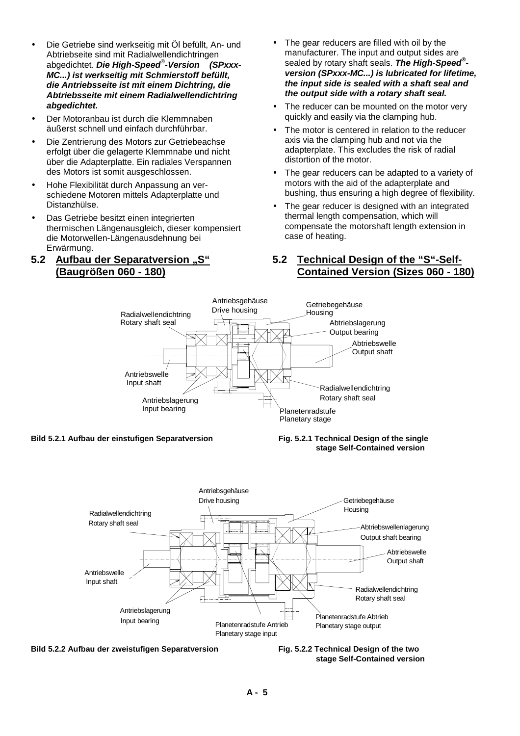- Die Getriebe sind werkseitig mit Öl befüllt, An- und Abtriebseite sind mit Radialwellendichtringen abgedichtet. *Die High-Speed*® *-Version (SPxxx-MC...) ist werkseitig mit Schmierstoff befüllt, die Antriebsseite ist mit einem Dichtring, die Abtriebsseite mit einem Radialwellendichtring abgedichtet.*
- Der Motoranbau ist durch die Klemmnaben äußerst schnell und einfach durchführbar.
- Die Zentrierung des Motors zur Getriebeachse erfolgt über die gelagerte Klemmnabe und nicht über die Adapterplatte. Ein radiales Verspannen des Motors ist somit ausgeschlossen.
- Hohe Flexibilität durch Anpassung an verschiedene Motoren mittels Adapterplatte und Distanzhülse.
- Das Getriebe besitzt einen integrierten thermischen Längenausgleich, dieser kompensiert die Motorwellen-Längenausdehnung bei Erwärmung.

#### **5.2 Aufbau der Separatversion "S" (Baugrößen 060 - 180)**

- The gear reducers are filled with oil by the manufacturer. The input and output sides are sealed by rotary shaft seals. *The High-Speed® version (SPxxx-MC...) is lubricated for lifetime, the input side is sealed with a shaft seal and the output side with a rotary shaft seal.*
- The reducer can be mounted on the motor very quickly and easily via the clamping hub.
- The motor is centered in relation to the reducer axis via the clamping hub and not via the adapterplate. This excludes the risk of radial distortion of the motor.
- The gear reducers can be adapted to a variety of motors with the aid of the adapterplate and bushing, thus ensuring a high degree of flexibility.
- The gear reducer is designed with an integrated thermal length compensation, which will compensate the motorshaft length extension in case of heating.

#### **5.2 Technical Design of the "S"-Self-Contained Version (Sizes 060 - 180)**



#### **Bild 5.2.1 Aufbau der einstufigen Separatversion Fig. 5.2.1 Technical Design of the single**

# **stage Self-Contained version**





 **stage Self-Contained version**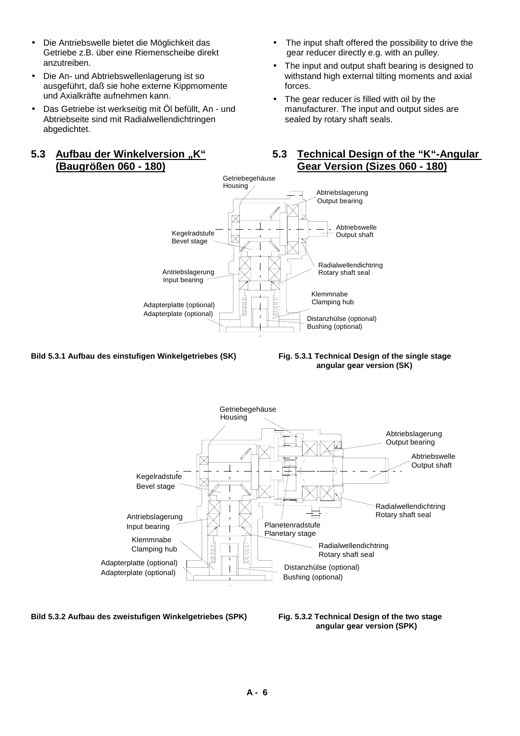- Die Antriebswelle bietet die Möglichkeit das Getriebe z.B. über eine Riemenscheibe direkt anzutreiben.
- Die An- und Abtriebswellenlagerung ist so ausgeführt, daß sie hohe externe Kippmomente und Axialkräfte aufnehmen kann.
- Das Getriebe ist werkseitig mit Öl befüllt, An und Abtriebseite sind mit Radialwellendichtringen abgedichtet.

#### **5.3 Aufbau der Winkelversion "K" (Baugrößen 060 - 180)**

- The input shaft offered the possibility to drive the gear reducer directly e.g. with an pulley.
- The input and output shaft bearing is designed to withstand high external tilting moments and axial forces.
- The gear reducer is filled with oil by the manufacturer. The input and output sides are sealed by rotary shaft seals.

**5.3 Technical Design of the "K"-Angular** 



**Bild 5.3.1 Aufbau des einstufigen Winkelgetriebes (SK) Fig. 5.3.1 Technical Design of the single stage**

 **angular gear version (SK)**



**Bild 5.3.2 Aufbau des zweistufigen Winkelgetriebes (SPK) Fig. 5.3.2 Technical Design of the two stage**

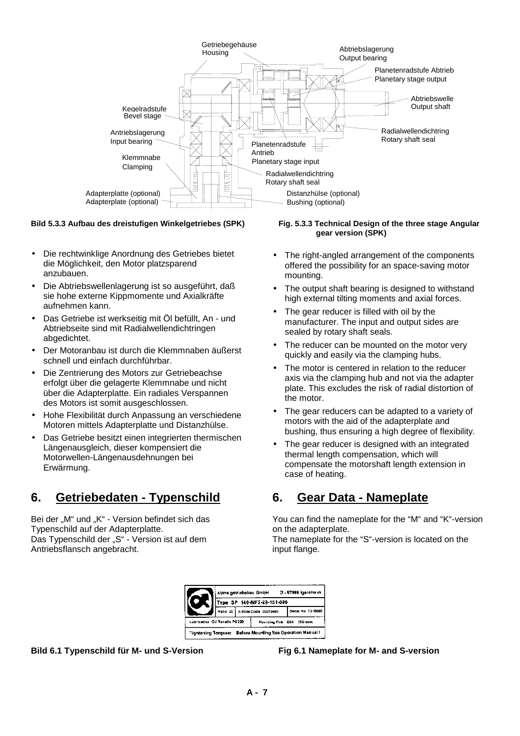

#### **Bild 5.3.3 Aufbau des dreistufigen Winkelgetriebes (SPK) Fig. 5.3.3 Technical Design of the three stage Angular**

- Die rechtwinklige Anordnung des Getriebes bietet die Möglichkeit, den Motor platzsparend anzubauen.
- Die Abtriebswellenlagerung ist so ausgeführt, daß sie hohe externe Kippmomente und Axialkräfte aufnehmen kann.
- Das Getriebe ist werkseitig mit Öl befüllt, An und Abtriebseite sind mit Radialwellendichtringen abgedichtet.
- Der Motoranbau ist durch die Klemmnaben äußerst schnell und einfach durchführbar.
- Die Zentrierung des Motors zur Getriebeachse erfolgt über die gelagerte Klemmnabe und nicht über die Adapterplatte. Ein radiales Verspannen des Motors ist somit ausgeschlossen.
- Hohe Flexibilität durch Anpassung an verschiedene Motoren mittels Adapterplatte und Distanzhülse.
- Das Getriebe besitzt einen integrierten thermischen Längenausgleich, dieser kompensiert die Motorwellen-Längenausdehnungen bei Erwärmung.

# **6. Getriebedaten - Typenschild**

Bei der "M" und "K" - Version befindet sich das Typenschild auf der Adapterplatte. Das Typenschild der "S" - Version ist auf dem Antriebsflansch angebracht.

# **gear version (SPK)**

- The right-angled arrangement of the components offered the possibility for an space-saving motor mounting.
- The output shaft bearing is designed to withstand high external tilting moments and axial forces.
- The gear reducer is filled with oil by the manufacturer. The input and output sides are sealed by rotary shaft seals.
- The reducer can be mounted on the motor very quickly and easily via the clamping hubs.
- The motor is centered in relation to the reducer axis via the clamping hub and not via the adapter plate. This excludes the risk of radial distortion of the motor.
- The gear reducers can be adapted to a variety of motors with the aid of the adapterplate and bushing, thus ensuring a high degree of flexibility.
- The gear reducer is designed with an integrated thermal length compensation, which will compensate the motorshaft length extension in case of heating.

# **6. Gear Data - Nameplate**

You can find the nameplate for the "M" and "K"-version on the adapterplate. The nameplate for the "S"-version is located on the

input flange.



**Bild 6.1 Typenschild für M- und S-Version Fig 6.1 Nameplate for M- and S-version**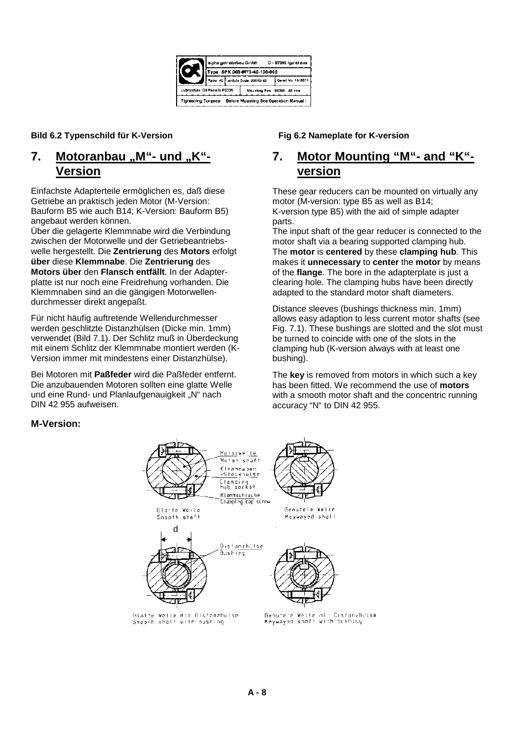

#### **Bild 6.2 Typenschild für K-Version Fig 6.2 Nameplate for K-version**

## **7.** Motoranbau "M"- und "K"-**Version**

Einfachste Adapterteile ermöglichen es, daß diese Getriebe an praktisch jeden Motor (M-Version: Bauform B5 wie auch B14; K-Version: Bauform B5) angebaut werden können.

Über die gelagerte Klemmnabe wird die Verbindung zwischen der Motorwelle und der Getriebeantriebswelle hergestellt. Die **Zentrierung** des **Motors** erfolgt **über** diese **Klemmnabe**. Die **Zentrierung** des **Motors über** den **Flansch entfällt**. In der Adapterplatte ist nur noch eine Freidrehung vorhanden. Die Klemmnaben sind an die gängigen Motorwellendurchmesser direkt angepaßt.

Für nicht häufig auftretende Wellendurchmesser werden geschlitzte Distanzhülsen (Dicke min. 1mm) verwendet (Bild 7.1). Der Schlitz muß in Überdeckung mit einem Schlitz der Klemmnabe montiert werden (K-Version immer mit mindestens einer Distanzhülse).

Bei Motoren mit **Paßfeder** wird die Paßfeder entfernt. Die anzubauenden Motoren sollten eine glatte Welle und eine Rund- und Planlaufgenauigkeit "N" nach DIN 42 955 aufweisen.

# **7. Motor Mounting "M"- and "K" version**

These gear reducers can be mounted on virtually any motor (M-version: type B5 as well as B14; K-version type B5) with the aid of simple adapter parts.

The input shaft of the gear reducer is connected to the motor shaft via a bearing supported clamping hub. The **motor** is **centered** by these **clamping hub**. This makes it **unnecessary** to **center** the **motor** by means of the **flange**. The bore in the adapterplate is just a clearing hole. The clamping hubs have been directly adapted to the standard motor shaft diameters.

Distance sleeves (bushings thickness min. 1mm) allows easy adaption to less current motor shafts (see Fig. 7.1). These bushings are slotted and the slot must be turned to coincide with one of the slots in the clamping hub (K-version always with at least one bushing).

The **key** is removed from motors in which such a key has been fitted. We recommend the use of **motors** with a smooth motor shaft and the concentric running accuracy "N" to DIN 42 955.

#### **M-Version:**



Geoutere Weste nir Cistanzhetse<br>Keywayed shaff with bushing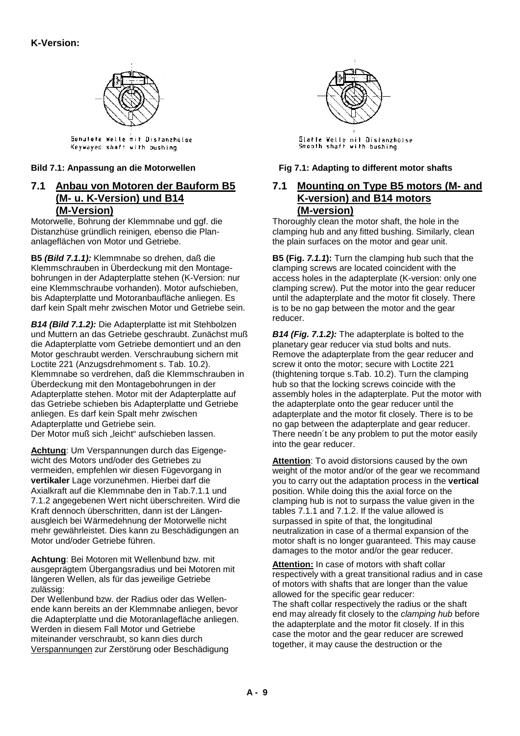

Genutete Welle mit Distanzhülse Keywayed shaft with bushing

## **7.1 Anbau von Motoren der Bauform B5 (M- u. K-Version) und B14 (M-Version)**

Motorwelle, Bohrung der Klemmnabe und ggf. die Distanzhüse gründlich reinigen*,* ebenso die Plananlageflächen von Motor und Getriebe.

**B5** *(Bild 7.1.1):* Klemmnabe so drehen, daß die Klemmschrauben in Überdeckung mit den Montagebohrungen in der Adapterplatte stehen (K-Version: nur eine Klemmschraube vorhanden). Motor aufschieben, bis Adapterplatte und Motoranbaufläche anliegen. Es darf kein Spalt mehr zwischen Motor und Getriebe sein.

*B14 (Bild 7.1.2):* Die Adapterplatte ist mit Stehbolzen und Muttern an das Getriebe geschraubt. Zunächst muß die Adapterplatte vom Getriebe demontiert und an den Motor geschraubt werden. Verschraubung sichern mit Loctite 221 (Anzugsdrehmoment s. Tab. 10.2). Klemmnabe so verdrehen, daß die Klemmschrauben in Überdeckung mit den Montagebohrungen in der Adapterplatte stehen. Motor mit der Adapterplatte auf das Getriebe schieben bis Adapterplatte und Getriebe anliegen. Es darf kein Spalt mehr zwischen Adapterplatte und Getriebe sein. Der Motor muß sich "leicht" aufschieben lassen.

**Achtung**: Um Verspannungen durch das Eigengewicht des Motors und/oder des Getriebes zu vermeiden, empfehlen wir diesen Fügevorgang in **vertikaler** Lage vorzunehmen. Hierbei darf die Axialkraft auf die Klemmnabe den in Tab.7.1.1 und 7.1.2 angegebenen Wert nicht überschreiten. Wird die Kraft dennoch überschritten, dann ist der Längenausgleich bei Wärmedehnung der Motorwelle nicht mehr gewährleistet. Dies kann zu Beschädigungen an Motor und/oder Getriebe führen.

**Achtung**: Bei Motoren mit Wellenbund bzw. mit ausgeprägtem Übergangsradius und bei Motoren mit längeren Wellen, als für das jeweilige Getriebe zulässig:

Der Wellenbund bzw. der Radius oder das Wellenende kann bereits an der Klemmnabe anliegen, bevor die Adapterplatte und die Motoranlagefläche anliegen. Werden in diesem Fall Motor und Getriebe miteinander verschraubt, so kann dies durch Verspannungen zur Zerstörung oder Beschädigung



Bild 7.1: Anpassung an die Motorwellen Fig 7.1: Adapting to different motor shafts

### **7.1 Mounting on Type B5 motors (M- and K-version) and B14 motors (M-version)**

Thoroughly clean the motor shaft, the hole in the clamping hub and any fitted bushing. Similarly, clean the plain surfaces on the motor and gear unit.

**B5 (Fig.** *7.1.1***):** Turn the clamping hub such that the clamping screws are located coincident with the access holes in the adapterplate (K-version: only one clamping screw). Put the motor into the gear reducer until the adapterplate and the motor fit closely. There is to be no gap between the motor and the gear reducer.

*B14 (Fig. 7.1.2):* The adapterplate is bolted to the planetary gear reducer via stud bolts and nuts. Remove the adapterplate from the gear reducer and screw it onto the motor; secure with Loctite 221 (thightening torque s.Tab. 10.2). Turn the clamping hub so that the locking screws coincide with the assembly holes in the adapterplate. Put the motor with the adapterplate onto the gear reducer until the adapterplate and the motor fit closely. There is to be no gap between the adapterplate and gear reducer. There needn´t be any problem to put the motor easily into the gear reducer.

**Attention**: To avoid distorsions caused by the own weight of the motor and/or of the gear we recommand you to carry out the adaptation process in the **vertical** position. While doing this the axial force on the clamping hub is not to surpass the value given in the tables 7.1.1 and 7.1.2. If the value allowed is surpassed in spite of that, the longitudinal neutralization in case of a thermal expansion of the motor shaft is no longer guaranteed. This may cause damages to the motor and/or the gear reducer.

**Attention:** In case of motors with shaft collar respectively with a great transitional radius and in case of motors with shafts that are longer than the value allowed for the specific gear reducer: The shaft collar respectively the radius or the shaft

end may already fit closely to the *clamping hub* before the adapterplate and the motor fit closely. If in this case the motor and the gear reducer are screwed together, it may cause the destruction or the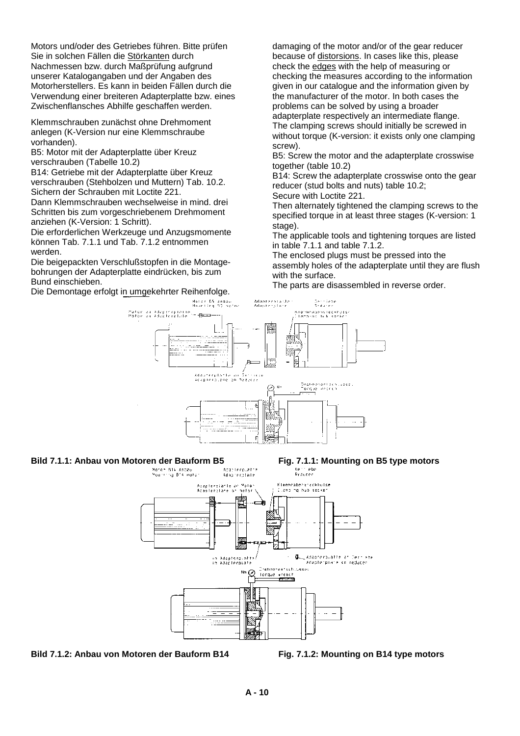Motors und/oder des Getriebes führen. Bitte prüfen Sie in solchen Fällen die Störkanten durch Nachmessen bzw. durch Maßprüfung aufgrund unserer Katalogangaben und der Angaben des Motorherstellers. Es kann in beiden Fällen durch die Verwendung einer breiteren Adapterplatte bzw. eines Zwischenflansches Abhilfe geschaffen werden.

Klemmschrauben zunächst ohne Drehmoment anlegen (K-Version nur eine Klemmschraube vorhanden).

B5: Motor mit der Adapterplatte über Kreuz verschrauben (Tabelle 10.2)

B14: Getriebe mit der Adapterplatte über Kreuz verschrauben (Stehbolzen und Muttern) Tab. 10.2. Sichern der Schrauben mit Loctite 221.

Dann Klemmschrauben wechselweise in mind. drei Schritten bis zum vorgeschriebenem Drehmoment anziehen (K-Version: 1 Schritt).

Die erforderlichen Werkzeuge und Anzugsmomente können Tab. 7.1.1 und Tab. 7.1.2 entnommen werden.

Die beigepackten Verschlußstopfen in die Montagebohrungen der Adapterplatte eindrücken, bis zum Bund einschieben.

Die Demontage erfolgt in umgekehrter Reihenfolge.

damaging of the motor and/or of the gear reducer because of distorsions. In cases like this, please check the edges with the help of measuring or checking the measures according to the information given in our catalogue and the information given by the manufacturer of the motor. In both cases the problems can be solved by using a broader adapterplate respectively an intermediate flange. The clamping screws should initially be screwed in without torque (K-version: it exists only one clamping screw).

B5: Screw the motor and the adapterplate crosswise together (table 10.2)

B14: Screw the adapterplate crosswise onto the gear reducer (stud bolts and nuts) table 10.2;

Secure with Loctite 221.

Then alternately tightened the clamping screws to the specified torque in at least three stages (K-version: 1 stage).

The applicable tools and tightening torques are listed in table 7.1.1 and table 7.1.2.

The enclosed plugs must be pressed into the assembly holes of the adapterplate until they are flush with the surface.

The parts are disassembled in reverse order.







**Bild 7.1.2: Anbau von Motoren der Bauform B14 Fig. 7.1.2: Mounting on B14 type motors**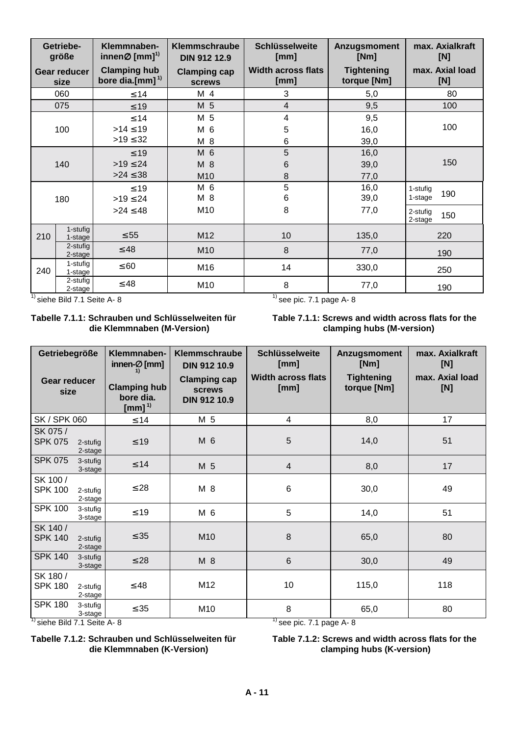|     | Getriebe-<br>größe          | Klemmnaben-<br>innen $\varnothing$ [mm] <sup>1)</sup> | Klemmschraube<br><b>DIN 912 12.9</b> | <b>Schlüsselweite</b><br>[mm]     | Anzugsmoment<br>[Nm]             | max. Axialkraft<br>[N]     |  |
|-----|-----------------------------|-------------------------------------------------------|--------------------------------------|-----------------------------------|----------------------------------|----------------------------|--|
|     | <b>Gear reducer</b><br>size | <b>Clamping hub</b><br>bore dia.[mm] $1$              | <b>Clamping cap</b><br><b>screws</b> | <b>Width across flats</b><br>[mm] | <b>Tightening</b><br>torque [Nm] | max. Axial load<br>[N]     |  |
|     | 060                         | $≤ 14$                                                | M 4                                  | 3                                 | 5,0                              | 80                         |  |
|     | 075                         | $\leq 19$                                             | M 5                                  | $\overline{4}$                    | 9,5                              | 100                        |  |
|     | 100                         | $\leq 14$<br>$>14 \le 19$<br>$>19 \le 32$             | M 5<br>M 6<br>M 8                    | 4<br>5<br>6                       | 9,5<br>16,0<br>39,0              | 100                        |  |
|     | 140                         | $\leq 19$<br>$>19 \le 24$<br>$>24 \le 38$             | M 6<br>M 8<br>M10                    | 5<br>6<br>8                       | 16,0<br>39,0<br>77,0             | 150                        |  |
|     | 180                         | $\leq 19$<br>$>19 \le 24$                             | M 6<br>M 8                           | 5<br>6                            | 16,0<br>39,0                     | 1-stufig<br>190<br>1-stage |  |
|     |                             | $>24 \le 48$                                          | M10                                  | 8                                 | 77,0                             | 2-stufig<br>150<br>2-stage |  |
| 210 | 1-stufig<br>1-stage         | $\leq 55$                                             | M12                                  | 10                                | 135,0                            | 220                        |  |
|     | 2-stufig<br>2-stage         | $\leq 48$                                             | M10                                  | 8                                 | 77,0                             | 190                        |  |
| 240 | 1-stufig<br>1-stage         | $\leq 60$                                             | M16                                  | 14                                | 330,0                            | 250                        |  |
|     | 2-stufig<br>2-stage         | $\leq 48$                                             | M10                                  | 8                                 | 77,0                             | 190                        |  |

 $\frac{1}{1}$  siehe Bild 7.1 Seite A- 8  $\frac{1}{1}$  see pic. 7.1 page A- 8

#### **Tabelle 7.1.1: Schrauben und Schlüsselweiten für die Klemmnaben (M-Version)**

**Table 7.1.1: Screws and width across flats for the clamping hubs (M-version)**

| Getriebegröße                                                                  |                                                                                 | Klemmnaben-<br>innen- $\varnothing$ [mm] | Klemmschraube<br><b>DIN 912 10.9</b>                        | <b>Schlüsselweite</b><br>[mm]     | Anzugsmoment<br>[Nm]             | max. Axialkraft<br>[N] |
|--------------------------------------------------------------------------------|---------------------------------------------------------------------------------|------------------------------------------|-------------------------------------------------------------|-----------------------------------|----------------------------------|------------------------|
|                                                                                | <b>Gear reducer</b><br><b>Clamping hub</b><br>size<br>bore dia.<br>[mm] $^{1)}$ |                                          | <b>Clamping cap</b><br><b>screws</b><br><b>DIN 912 10.9</b> | <b>Width across flats</b><br>[mm] | <b>Tightening</b><br>torque [Nm] | max. Axial load<br>[N] |
| <b>SK / SPK 060</b>                                                            |                                                                                 | $\leq 14$                                | M 5                                                         | 4                                 | 8,0                              | 17                     |
| SK 075 /<br><b>SPK 075</b>                                                     | 2-stufig<br>2-stage                                                             | $\leq 19$                                | M 6                                                         | 5                                 | 14,0                             | 51                     |
| <b>SPK 075</b>                                                                 | 3-stufig<br>3-stage                                                             | $\leq 14$                                | M 5                                                         | $\overline{4}$                    | 8,0                              | 17                     |
| SK 100 /<br><b>SPK 100</b>                                                     | 2-stufig<br>2-stage                                                             | $\leq 28$                                | M 8                                                         | $\,6$                             | 30,0                             | 49                     |
| <b>SPK 100</b>                                                                 | 3-stufig<br>3-stage                                                             | $\leq 19$                                | M 6                                                         | 5                                 | 14,0                             | 51                     |
| SK 140 /<br><b>SPK 140</b>                                                     | 2-stufig<br>2-stage                                                             | $\leq 35$                                | M10                                                         | 8                                 | 65,0                             | 80                     |
| <b>SPK 140</b>                                                                 | 3-stufig<br>3-stage                                                             | $\leq 28$                                | M 8                                                         | $6\phantom{1}$                    | 30,0                             | 49                     |
| SK 180 /<br><b>SPK 180</b>                                                     | 2-stufig<br>2-stage                                                             | $\leq 48$                                | M12                                                         | 10                                | 115,0                            | 118                    |
| <b>SPK 180</b>                                                                 | 3-stufig<br>3-stage                                                             | $\leq$ 35                                | M10                                                         | 8<br>65,0                         |                                  | 80                     |
| <sup>1)</sup> siehe Bild 7.1 Seite A- 8<br>$\frac{1}{1}$ see pic. 7.1 page A-8 |                                                                                 |                                          |                                                             |                                   |                                  |                        |



#### **Tabelle 7.1.2: Schrauben und Schlüsselweiten für die Klemmnaben (K-Version) Table 7.1.2: Screws and width across flats for the clamping hubs (K-version)**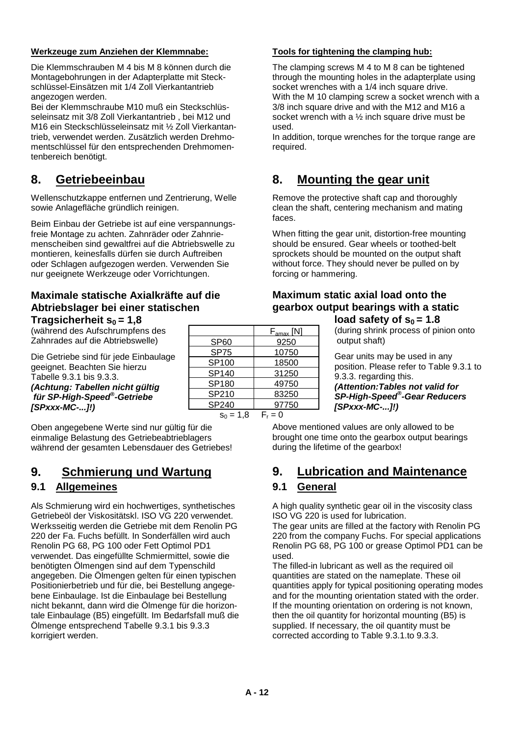#### **Werkzeuge zum Anziehen der Klemmnabe:**

Die Klemmschrauben M 4 bis M 8 können durch die Montagebohrungen in der Adapterplatte mit Steckschlüssel-Einsätzen mit 1/4 Zoll Vierkantantrieb angezogen werden.

Bei der Klemmschraube M10 muß ein Steckschlüsseleinsatz mit 3/8 Zoll Vierkantantrieb , bei M12 und M16 ein Steckschlüsseleinsatz mit ½ Zoll Vierkantantrieb, verwendet werden. Zusätzlich werden Drehmomentschlüssel für den entsprechenden Drehmomentenbereich benötigt.

# **8. Getriebeeinbau**

Wellenschutzkappe entfernen und Zentrierung, Welle sowie Anlagefläche gründlich reinigen.

Beim Einbau der Getriebe ist auf eine verspannungsfreie Montage zu achten. Zahnräder oder Zahnriemenscheiben sind gewaltfrei auf die Abtriebswelle zu montieren, keinesfalls dürfen sie durch Auftreiben oder Schlagen aufgezogen werden. Verwenden Sie nur geeignete Werkzeuge oder Vorrichtungen.

#### **Maximale statische Axialkräfte auf die Abtriebslager bei einer statischen Tragsicherheit**  $s_0 = 1.8$

(während des Aufschrumpfens des Zahnrades auf die Abtriebswelle)

Die Getriebe sind für jede Einbaulage geeignet. Beachten Sie hierzu Tabelle 9.3.1 bis 9.3.3. *(Achtung: Tabellen nicht gültig für SP-High-Speed® -Getriebe [SPxxx-MC-...]!)*

Oben angegebene Werte sind nur gültig für die einmalige Belastung des Getriebeabtrieblagers während der gesamten Lebensdauer des Getriebes!

# **9. Schmierung und Wartung**

## **9.1 Allgemeines**

Als Schmierung wird ein hochwertiges, synthetisches Getriebeöl der Viskositätskl. ISO VG 220 verwendet. Werksseitig werden die Getriebe mit dem Renolin PG 220 der Fa. Fuchs befüllt. In Sonderfällen wird auch Renolin PG 68, PG 100 oder Fett Optimol PD1 verwendet. Das eingefüllte Schmiermittel, sowie die benötigten Ölmengen sind auf dem Typenschild angegeben. Die Ölmengen gelten für einen typischen Positionierbetrieb und für die, bei Bestellung angegebene Einbaulage. Ist die Einbaulage bei Bestellung nicht bekannt, dann wird die Ölmenge für die horizontale Einbaulage (B5) eingefüllt. Im Bedarfsfall muß die Ölmenge entsprechend Tabelle 9.3.1 bis 9.3.3 korrigiert werden.

|                  | $F_{\text{amax}}$ [N] |
|------------------|-----------------------|
| SP <sub>60</sub> | 9250                  |
| <b>SP75</b>      | 10750                 |
| SP100            | 18500                 |
| SP140            | 31250                 |
| SP180            | 49750                 |
| SP210            | 83250                 |
| SP240            | 97750                 |
| $s_0 = 1.8$      | $F_r = 0$             |

#### **Tools for tightening the clamping hub:**

The clamping screws M 4 to M 8 can be tightened through the mounting holes in the adapterplate using socket wrenches with a 1/4 inch square drive. With the M 10 clamping screw a socket wrench with a 3/8 inch square drive and with the M12 and M16 a socket wrench with a ½ inch square drive must be used.

In addition, torque wrenches for the torque range are required.

# **8. Mounting the gear unit**

Remove the protective shaft cap and thoroughly clean the shaft, centering mechanism and mating faces.

When fitting the gear unit, distortion-free mounting should be ensured. Gear wheels or toothed-belt sprockets should be mounted on the output shaft without force. They should never be pulled on by forcing or hammering.

#### **Maximum static axial load onto the gearbox output bearings with a static** load safety of  $s_0 = 1.8$

(during shrink process of pinion onto output shaft)

Gear units may be used in any position. Please refer to Table 9.3.1 to 9.3.3. regarding this.

*(Attention:Tables not valid for SP-High-Speed® -Gear Reducers [SPxxx-MC-...]!)*

Above mentioned values are only allowed to be brought one time onto the gearbox output bearings during the lifetime of the gearbox!

# **9. Lubrication and Maintenance**

#### **9.1 General**

A high quality synthetic gear oil in the viscosity class ISO VG 220 is used for lubrication.

The gear units are filled at the factory with Renolin PG 220 from the company Fuchs. For special applications Renolin PG 68, PG 100 or grease Optimol PD1 can be used.

The filled-in lubricant as well as the required oil quantities are stated on the nameplate. These oil quantities apply for typical positioning operating modes and for the mounting orientation stated with the order. If the mounting orientation on ordering is not known, then the oil quantity for horizontal mounting (B5) is supplied. If necessary, the oil quantity must be corrected according to Table 9.3.1.to 9.3.3.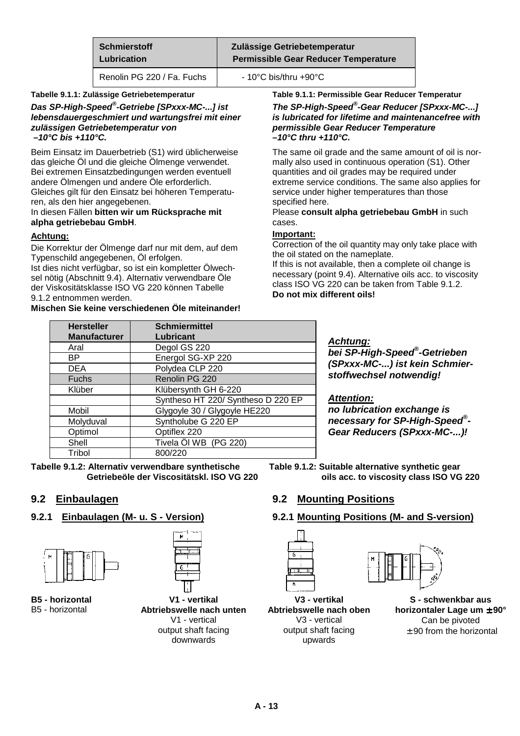| Schmierstoff               | Zulässige Getriebetemperatur                |
|----------------------------|---------------------------------------------|
| Lubrication                | <b>Permissible Gear Reducer Temperature</b> |
| Renolin PG 220 / Fa. Fuchs | $-10^{\circ}$ C bis/thru +90 $^{\circ}$ C   |

#### **Tabelle 9.1.1: Zulässige Getriebetemperatur**

*Das SP-High-Speed® -Getriebe [SPxxx-MC-...] ist lebensdauergeschmiert und wartungsfrei mit einer zulässigen Getriebetemperatur von –10°C bis +110°C.*

Beim Einsatz im Dauerbetrieb (S1) wird üblicherweise das gleiche Öl und die gleiche Ölmenge verwendet. Bei extremen Einsatzbedingungen werden eventuell andere Ölmengen und andere Öle erforderlich. Gleiches gilt für den Einsatz bei höheren Temperaturen, als den hier angegebenen.

#### In diesen Fällen **bitten wir um Rücksprache mit alpha getriebebau GmbH**.

#### **Achtung:**

Die Korrektur der Ölmenge darf nur mit dem, auf dem Typenschild angegebenen, Öl erfolgen. Ist dies nicht verfügbar, so ist ein kompletter Ölwech-

sel nötig (Abschnitt 9.4). Alternativ verwendbare Öle der Viskositätsklasse ISO VG 220 können Tabelle 9.1.2 entnommen werden.

#### **Mischen Sie keine verschiedenen Öle miteinander!**

extreme service conditions. The same also applies for service under higher temperatures than those specified here. Please **consult alpha getriebebau GmbH** in such cases. **Important:**

*–10°C thru +110°C.*

Correction of the oil quantity may only take place with the oil stated on the nameplate. If this is not available, then a complete oil change is necessary (point 9.4). Alternative oils acc. to viscosity class ISO VG 220 can be taken from Table 9.1.2.

**Table 9.1.1: Permissible Gear Reducer Temperatur** *The SP-High-Speed® -Gear Reducer [SPxxx-MC-...] is lubricated for lifetime and maintenancefree with*

The same oil grade and the same amount of oil is normally also used in continuous operation (S1). Other quantities and oil grades may be required under

*permissible Gear Reducer Temperature*

**Do not mix different oils!**

| <b>Schmiermittel</b>               |
|------------------------------------|
| Lubricant                          |
| Degol GS 220                       |
| Energol SG-XP 220                  |
| Polydea CLP 220                    |
| Renolin PG 220                     |
| Klübersynth GH 6-220               |
| Syntheso HT 220/ Syntheso D 220 EP |
| Glygoyle 30 / Glygoyle HE220       |
| Syntholube G 220 EP                |
| Optiflex 220                       |
| Tivela Öl WB (PG 220)              |
| 800/220                            |
|                                    |

**Tabelle 9.1.2: Alternativ verwendbare synthetische Table 9.1.2: Suitable alternative synthetic gear**

#### **9.2 Einbaulagen**

#### **9.2.1 Einbaulagen (M- u. S - Version)**



 **B5 - horizontal** B5 - horizontal



**V1 - vertikal Abtriebswelle nach unten** V1 - vertical output shaft facing downwards

#### *Achtung:*

*bei SP-High-Speed® -Getrieben (SPxxx-MC-...) ist kein Schmierstoffwechsel notwendig!*

#### *Attention:*

*no lubrication exchange is necessary for SP-High-Speed® - Gear Reducers (SPxxx-MC-...)!*

Getriebeöle der Viscositätskl. ISO VG 220 oils acc. to viscosity class ISO VG 220

#### **9.2 Mounting Positions**

#### **9.2.1 Mounting Positions (M- and S-version)**



**V3 - vertikal Abtriebswelle nach oben** V3 - vertical output shaft facing upwards

**S - schwenkbar aus horizontaler Lage um** ± **90°** Can be pivoted ± 90 from the horizontal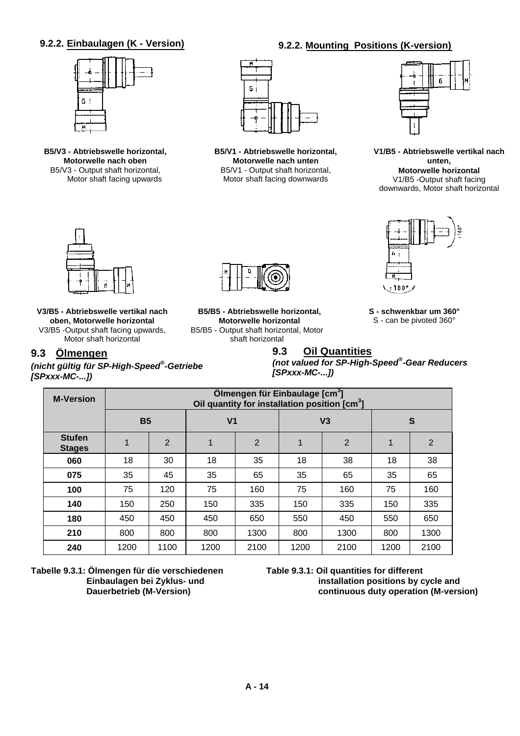#### **9.2.2. Einbaulagen (K - Version) 9.2.2. Mounting Positions (K-version)**

# $6<sup>1</sup>$

**B5/V3 - Abtriebswelle horizontal, Motorwelle nach oben** B5/V3 - Output shaft horizontal, Motor shaft facing upwards



**B5/V1 - Abtriebswelle horizontal, Motorwelle nach unten** B5/V1 - Output shaft horizontal, Motor shaft facing downwards



**V1/B5 - Abtriebswelle vertikal nach unten, Motorwelle horizontal** V1/B5 -Output shaft facing downwards, Motor shaft horizontal



**V3/B5 - Abtriebswelle vertikal nach oben, Motorwelle horizontal** V3/B5 -Output shaft facing upwards, Motor shaft horizontal

#### **9.3 Ölmengen**

*(nicht gültig für SP-High-Speed® -Getriebe [SPxxx-MC-...])*

**B5/B5 - Abtriebswelle horizontal, Motorwelle horizontal** B5/B5 - Output shaft horizontal, Motor shaft horizontal

**S - schwenkbar um 360°** S - can be pivoted 360°

 $±180°/$ 

#### **9.3 Oil Quantities**

*(not valued for SP-High-Speed® -Gear Reducers [SPxxx-MC-...])*

| <b>M-Version</b>               | Ölmengen für Einbaulage [cm <sup>3</sup> ]<br>Oil quantity for installation position [cm <sup>3</sup> ] |      |                |                |      |                |      |      |
|--------------------------------|---------------------------------------------------------------------------------------------------------|------|----------------|----------------|------|----------------|------|------|
|                                | <b>B5</b>                                                                                               |      | V <sub>1</sub> |                |      | V <sub>3</sub> |      | S    |
| <b>Stufen</b><br><b>Stages</b> |                                                                                                         | 2    | 1              | $\overline{2}$ |      | $\overline{2}$ | 1    | 2    |
| 060                            | 18                                                                                                      | 30   | 18             | 35             | 18   | 38             | 18   | 38   |
| 075                            | 35                                                                                                      | 45   | 35             | 65             | 35   | 65             | 35   | 65   |
| 100                            | 75                                                                                                      | 120  | 75             | 160            | 75   | 160            | 75   | 160  |
| 140                            | 150                                                                                                     | 250  | 150            | 335            | 150  | 335            | 150  | 335  |
| 180                            | 450                                                                                                     | 450  | 450            | 650            | 550  | 450            | 550  | 650  |
| 210                            | 800                                                                                                     | 800  | 800            | 1300           | 800  | 1300           | 800  | 1300 |
| 240                            | 1200                                                                                                    | 1100 | 1200           | 2100           | 1200 | 2100           | 1200 | 2100 |

**Tabelle 9.3.1: Ölmengen für die verschiedenen Einbaulagen bei Zyklus- und Dauerbetrieb (M-Version)**

**Table 9.3.1: Oil quantities for different installation positions by cycle and continuous duty operation (M-version)**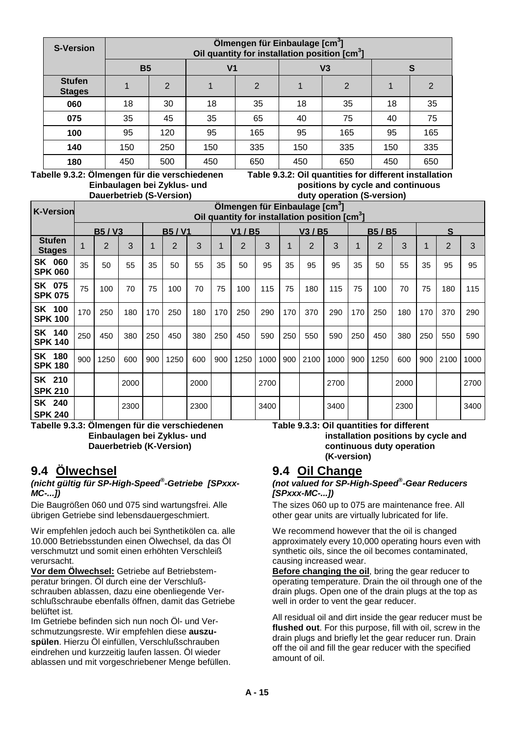| <b>S-Version</b>               |           | Ölmengen für Einbaulage [cm <sup>3</sup> ]<br>Oil quantity for installation position [cm <sup>3</sup> ] |                |                |     |                |     |     |  |  |
|--------------------------------|-----------|---------------------------------------------------------------------------------------------------------|----------------|----------------|-----|----------------|-----|-----|--|--|
|                                | <b>B5</b> |                                                                                                         | V <sub>1</sub> |                |     | V <sub>3</sub> | S   |     |  |  |
| <b>Stufen</b><br><b>Stages</b> |           | 2                                                                                                       |                | $\overline{2}$ |     | $\overline{2}$ |     | 2   |  |  |
| 060                            | 18        | 30                                                                                                      | 18             | 35             | 18  | 35             | 18  | 35  |  |  |
| 075                            | 35        | 45                                                                                                      | 35             | 65             | 40  | 75             | 40  | 75  |  |  |
| 100                            | 95        | 120                                                                                                     | 95             | 165            | 95  | 165            | 95  | 165 |  |  |
| 140                            | 150       | 250                                                                                                     | 150            | 335            | 150 | 335            | 150 | 335 |  |  |
| 180                            | 450       | 500                                                                                                     | 450            | 650            | 450 | 650            | 450 | 650 |  |  |

**Tabelle 9.3.2: Ölmengen für die verschiedenen Table 9.3.2: Oil quantities for different installation Einbaulagen bei Zyklus- und eine positions by cycle and continuous**<br>
Dauerbetrieb (S-Version)<br>
duty operation (S-version) *<u>duty operation</u>* (S-version)

|                                |     | Pausi beti ieb (9 version)                                                                              |      |             |                |      |     |                |      |     |                | $\frac{1}{2}$ |     |              |      |     |                |      |
|--------------------------------|-----|---------------------------------------------------------------------------------------------------------|------|-------------|----------------|------|-----|----------------|------|-----|----------------|---------------|-----|--------------|------|-----|----------------|------|
| <b>K-Version</b>               |     | Ölmengen für Einbaulage [cm <sup>3</sup> ]<br>Oil quantity for installation position [cm <sup>3</sup> ] |      |             |                |      |     |                |      |     |                |               |     |              |      |     |                |      |
|                                |     | <b>B5/V3</b>                                                                                            |      |             | <b>B5/V1</b>   |      |     | V1 / B5        |      |     | V3 / B5        |               |     | <b>B5/B5</b> |      | S   |                |      |
| <b>Stufen</b><br><b>Stages</b> |     | $\overline{2}$                                                                                          | 3    | $\mathbf 1$ | $\overline{2}$ | 3    | 1   | $\overline{2}$ | 3    |     | $\overline{2}$ | 3             |     | 2            | 3    |     | $\overline{2}$ | 3    |
| SK 060<br><b>SPK 060</b>       | 35  | 50                                                                                                      | 55   | 35          | 50             | 55   | 35  | 50             | 95   | 35  | 95             | 95            | 35  | 50           | 55   | 35  | 95             | 95   |
| SK 075<br><b>SPK 075</b>       | 75  | 100                                                                                                     | 70   | 75          | 100            | 70   | 75  | 100            | 115  | 75  | 180            | 115           | 75  | 100          | 70   | 75  | 180            | 115  |
| SK 100<br><b>SPK 100</b>       | 170 | 250                                                                                                     | 180  | 170         | 250            | 180  | 170 | 250            | 290  | 170 | 370            | 290           | 170 | 250          | 180  | 170 | 370            | 290  |
| SK 140<br><b>SPK 140</b>       | 250 | 450                                                                                                     | 380  | 250         | 450            | 380  | 250 | 450            | 590  | 250 | 550            | 590           | 250 | 450          | 380  | 250 | 550            | 590  |
| SK 180<br><b>SPK 180</b>       | 900 | 1250                                                                                                    | 600  | 900         | 1250           | 600  | 900 | 1250           | 1000 | 900 | 2100           | 1000          | 900 | 1250         | 600  | 900 | 2100           | 1000 |
| SK 210<br><b>SPK 210</b>       |     |                                                                                                         | 2000 |             |                | 2000 |     |                | 2700 |     |                | 2700          |     |              | 2000 |     |                | 2700 |
| SK 240<br><b>SPK 240</b>       |     |                                                                                                         | 2300 |             |                | 2300 |     |                | 3400 |     |                | 3400          |     |              | 2300 |     |                | 3400 |

**Tabelle 9.3.3: Ölmengen für die verschiedenen Einbaulagen bei Zyklus- und Dauerbetrieb (K-Version)**

#### **Table 9.3.3: Oil quantities for different installation positions by cycle and continuous duty operation (K-version)**

# **9.4 Ölwechsel**

#### *(nicht gültig für SP-High-Speed® -Getriebe [SPxxx-MC-...])*

Die Baugrößen 060 und 075 sind wartungsfrei. Alle übrigen Getriebe sind lebensdauergeschmiert.

Wir empfehlen jedoch auch bei Synthetikölen ca. alle 10.000 Betriebsstunden einen Ölwechsel, da das Öl verschmutzt und somit einen erhöhten Verschleiß verursacht.

**Vor dem Ölwechsel:** Getriebe auf Betriebstemperatur bringen. Öl durch eine der Verschlußschrauben ablassen, dazu eine obenliegende Verschlußschraube ebenfalls öffnen, damit das Getriebe belüftet ist.

Im Getriebe befinden sich nun noch Öl- und Verschmutzungsreste. Wir empfehlen diese **auszuspülen**. Hierzu Öl einfüllen, Verschlußschrauben eindrehen und kurzzeitig laufen lassen. Öl wieder ablassen und mit vorgeschriebener Menge befüllen.

# **9.4 Oil Change**

#### *(not valued for SP-High-Speed® -Gear Reducers [SPxxx-MC-...])*

The sizes 060 up to 075 are maintenance free. All other gear units are virtually lubricated for life.

We recommend however that the oil is changed approximately every 10,000 operating hours even with synthetic oils, since the oil becomes contaminated, causing increased wear.

**Before changing the oil**, bring the gear reducer to operating temperature. Drain the oil through one of the drain plugs. Open one of the drain plugs at the top as well in order to vent the gear reducer.

All residual oil and dirt inside the gear reducer must be **flushed out**. For this purpose, fill with oil, screw in the drain plugs and briefly let the gear reducer run. Drain off the oil and fill the gear reducer with the specified amount of oil.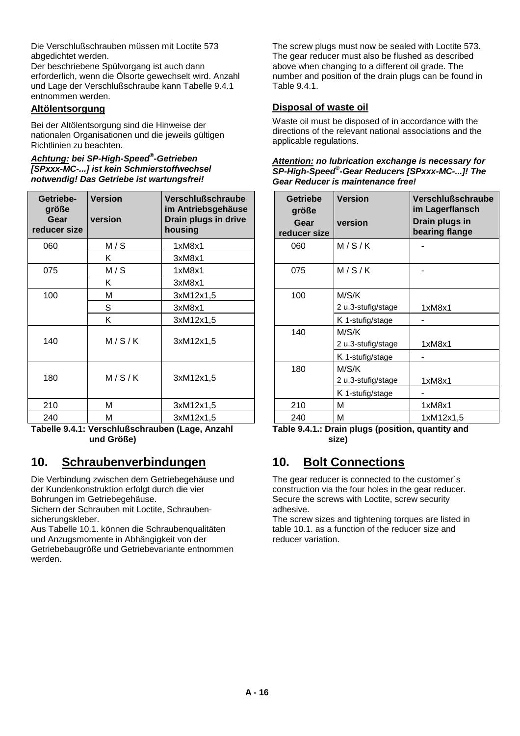Die Verschlußschrauben müssen mit Loctite 573 abgedichtet werden.

Der beschriebene Spülvorgang ist auch dann erforderlich, wenn die Ölsorte gewechselt wird. Anzahl und Lage der Verschlußschraube kann Tabelle 9.4.1 entnommen werden.

#### **Altölentsorgung**

Bei der Altölentsorgung sind die Hinweise der nationalen Organisationen und die jeweils gültigen Richtlinien zu beachten.

#### *Achtung: bei SP-High-Speed® -Getrieben [SPxxx-MC-...] ist kein Schmierstoffwechsel notwendig! Das Getriebe ist wartungsfrei!*

| Getriebe-<br>größe<br>Gear<br>reducer size | <b>Version</b><br>version | <b>Verschlußschraube</b><br>im Antriebsgehäuse<br>Drain plugs in drive<br>housing | Getriebe<br>größe<br>Gear<br>reducer size | <b>Version</b><br>version   | <b>Verschlußsc</b><br>im Lagerflan<br>Drain plugs<br>bearing flang |
|--------------------------------------------|---------------------------|-----------------------------------------------------------------------------------|-------------------------------------------|-----------------------------|--------------------------------------------------------------------|
| 060                                        | M/S                       | 1xM8x1                                                                            | 060                                       | M/S/K                       |                                                                    |
|                                            | Κ                         | 3xM8x1                                                                            |                                           |                             |                                                                    |
| 075                                        | M/S                       | 1xM8x1                                                                            | 075                                       | M/S/K                       |                                                                    |
|                                            | K                         | 3xM8x1                                                                            |                                           |                             |                                                                    |
| 100                                        | М                         | 3xM12x1,5                                                                         | 100                                       | M/S/K                       |                                                                    |
|                                            | S                         | 3xM8x1                                                                            |                                           | 2 u.3-stufig/stage          | 1xM8x1                                                             |
|                                            | K                         | 3xM12x1,5                                                                         |                                           | K 1-stufig/stage            |                                                                    |
| 140                                        | M/S/K                     | 3xM12x1,5                                                                         | 140                                       | M/S/K<br>2 u.3-stufig/stage | 1xM8x1                                                             |
|                                            |                           |                                                                                   |                                           | K 1-stufig/stage            |                                                                    |
| 180                                        | M/S/K                     | 3xM12x1,5                                                                         | 180                                       | M/S/K                       |                                                                    |
|                                            |                           |                                                                                   |                                           | 2 u.3-stufig/stage          | 1xM8x1                                                             |
|                                            |                           |                                                                                   |                                           | K 1-stufig/stage            |                                                                    |
| 210                                        | M                         | 3xM12x1,5                                                                         | 210                                       | М                           | 1xM8x1                                                             |
| 240                                        | М                         | 3xM12x1,5                                                                         | 240                                       | M                           | 1xM12x1,5                                                          |

**Tabelle 9.4.1: Verschlußschrauben (Lage, Anzahl und Größe)**

# **10. Schraubenverbindungen**

Die Verbindung zwischen dem Getriebegehäuse und der Kundenkonstruktion erfolgt durch die vier Bohrungen im Getriebegehäuse.

Sichern der Schrauben mit Loctite, Schraubensicherungskleber.

Aus Tabelle 10.1. können die Schraubenqualitäten und Anzugsmomente in Abhängigkeit von der Getriebebaugröße und Getriebevariante entnommen werden.

The screw plugs must now be sealed with Loctite 573. The gear reducer must also be flushed as described above when changing to a different oil grade. The number and position of the drain plugs can be found in Table 9.4.1.

#### **Disposal of waste oil**

Waste oil must be disposed of in accordance with the directions of the relevant national associations and the applicable regulations.

| Attention: no lubrication exchange is necessary for |
|-----------------------------------------------------|
| SP-High-Speed®-Gear Reducers [SPxxx-MC-]! The       |
| <b>Gear Reducer is maintenance free!</b>            |

| sion<br>sion            | <b>Verschlußschraube</b><br>im Antriebsgehäuse<br>Drain plugs in drive<br>housing | <b>Getriebe</b><br>größe<br>Gear<br>reducer size | <b>Version</b><br>version   | Verschlußschraube<br>im Lagerflansch<br>Drain plugs in<br>bearing flange |
|-------------------------|-----------------------------------------------------------------------------------|--------------------------------------------------|-----------------------------|--------------------------------------------------------------------------|
| M/S                     | 1xM8x1                                                                            | 060                                              | M/S/K                       |                                                                          |
| K.                      | 3xM8x1                                                                            |                                                  |                             |                                                                          |
| M/S                     | 1xM8x1                                                                            | 075                                              | M/S/K                       |                                                                          |
| K                       | 3xM8x1                                                                            |                                                  |                             |                                                                          |
| $M_{\odot}$             | 3xM12x1,5                                                                         | 100                                              | M/S/K                       |                                                                          |
| $\overline{\mathsf{S}}$ | 3xM8x1                                                                            |                                                  | 2 u.3-stufig/stage          | 1xM8x1                                                                   |
| K                       | 3xM12x1,5                                                                         |                                                  | K 1-stufig/stage            |                                                                          |
| M/S/K                   | 3xM12x1,5                                                                         | 140                                              | M/S/K<br>2 u.3-stufig/stage | 1xM8x1                                                                   |
|                         |                                                                                   |                                                  | K 1-stufig/stage            |                                                                          |
|                         |                                                                                   | 180                                              | M/S/K                       |                                                                          |
| M/S/K                   | 3xM12x1,5                                                                         |                                                  | 2 u.3-stufig/stage          | 1xM8x1                                                                   |
|                         |                                                                                   |                                                  | K 1-stufig/stage            |                                                                          |
| M                       | 3xM12x1,5                                                                         | 210                                              | M                           | 1xM8x1                                                                   |
| м                       | 3xM12x1.5                                                                         | 240                                              | M                           | 1xM12x15                                                                 |

**Table 9.4.1.: Drain plugs (position, quantity and size)**

# **10. Bolt Connections**

The gear reducer is connected to the customer´s construction via the four holes in the gear reducer. Secure the screws with Loctite, screw security adhesive.

The screw sizes and tightening torques are listed in table 10.1. as a function of the reducer size and reducer variation.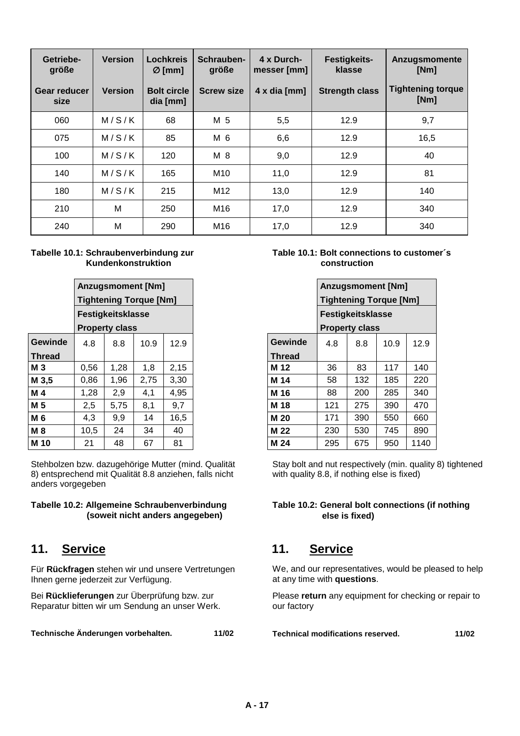| Getriebe-<br>größe   | <b>Version</b> | Lochkreis<br>$\varnothing$ [mm] | Schrauben-<br>größe | 4 x Durch-<br>messer [mm] | <b>Festigkeits-</b><br>klasse | <b>Anzugsmomente</b><br>[Nm]     |
|----------------------|----------------|---------------------------------|---------------------|---------------------------|-------------------------------|----------------------------------|
| Gear reducer<br>size | <b>Version</b> | <b>Bolt circle</b><br>dia [mm]  | <b>Screw size</b>   | $4 \times$ dia [mm]       | <b>Strength class</b>         | <b>Tightening torque</b><br>[Nm] |
| 060                  | M/S/K          | 68                              | M 5                 | 5,5                       | 12.9                          | 9,7                              |
| 075                  | M/S/K          | 85                              | M 6                 | 6,6                       | 12.9                          | 16,5                             |
| 100                  | M/S/K          | 120                             | M 8                 | 9,0                       | 12.9                          | 40                               |
| 140                  | M/S/K          | 165                             | M <sub>10</sub>     | 11,0                      | 12.9                          | 81                               |
| 180                  | M/S/K          | 215                             | M <sub>12</sub>     | 13,0                      | 12.9                          | 140                              |
| 210                  | M              | 250                             | M16                 | 17,0                      | 12.9                          | 340                              |
| 240                  | M              | 290                             | M16                 | 17,0                      | 12.9                          | 340                              |

#### **Tabelle 10.1: Schraubenverbindung zur Kundenkonstruktion**

|                |      |                       | <b>Anzugsmoment [Nm]</b>      |      |
|----------------|------|-----------------------|-------------------------------|------|
|                |      |                       | <b>Tightening Torque [Nm]</b> |      |
|                |      | Festigkeitsklasse     |                               |      |
|                |      | <b>Property class</b> |                               |      |
| <b>Gewinde</b> | 4.8  | 8.8                   | 10.9                          | 12.9 |
| <b>Thread</b>  |      |                       |                               |      |
| <b>M3</b>      | 0,56 | 1,28                  | 1,8                           | 2,15 |
| M 3,5          | 0,86 | 1,96                  | 2,75                          | 3,30 |
| M 4            | 1,28 | 2,9                   | 4,1                           | 4,95 |
| M 5            | 2,5  | 5,75                  | 8,1                           | 9,7  |
| M 6            | 4,3  | 9,9                   | 14                            | 16,5 |
| <b>M8</b>      | 10,5 | 24                    | 34                            | 40   |
| M 10           | 21   | 48                    | 67                            | 81   |

Stehbolzen bzw. dazugehörige Mutter (mind. Qualität 8) entsprechend mit Qualität 8.8 anziehen, falls nicht anders vorgegeben

#### **Tabelle 10.2: Allgemeine Schraubenverbindung (soweit nicht anders angegeben)**

Für **Rückfragen** stehen wir und unsere Vertretungen Ihnen gerne jederzeit zur Verfügung.

Bei **Rücklieferungen** zur Überprüfung bzw. zur Reparatur bitten wir um Sendung an unser Werk.

**Technische Änderungen vorbehalten. 11/02**

#### **Table 10.1: Bolt connections to customer´s construction**

|         |      |                       | <b>Anzugsmoment [Nm]</b>      |      |
|---------|------|-----------------------|-------------------------------|------|
|         |      |                       | <b>Tightening Torque [Nm]</b> |      |
|         |      | Festigkeitsklasse     |                               |      |
|         |      | <b>Property class</b> |                               |      |
| Gewinde | 4.8  | 8.8                   | 10.9                          | 12.9 |
| Thread  |      |                       |                               |      |
| M 3     | 0.56 | 1,28                  | 1,8                           | 2,15 |
| M 3,5   | 0,86 | 1,96                  | 2,75                          | 3,30 |
| M 4     | 1,28 | 2,9                   | 4,1                           | 4,95 |
| M 5     | 2,5  | 5,75                  | 8,1                           | 9,7  |
| M 6     | 4,3  | 9,9                   | 14                            | 16,5 |
| M 8     | 10,5 | 24                    | 34                            | 40   |
| M 10    | 21   | 48                    | 67                            | 81   |

Stay bolt and nut respectively (min. quality 8) tightened with quality 8.8, if nothing else is fixed)

#### **Table 10.2: General bolt connections (if nothing else is fixed)**

# **11. Service 11. Service**

We, and our representatives, would be pleased to help at any time with **questions**.

Please **return** any equipment for checking or repair to our factory

**Technical modifications reserved. 11/02**